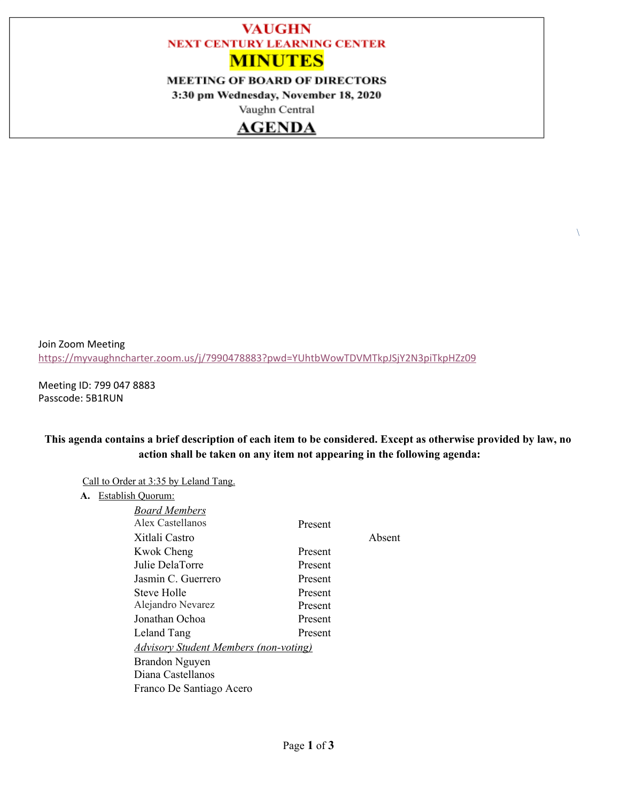# **VAUGHN NEXT CENTURY LEARNING CENTER MINUTES**

### **MEETING OF BOARD OF DIRECTORS**

3:30 pm Wednesday, November 18, 2020

Vaughn Central

# **AGENDA**

Join Zoom Meeting <https://myvaughncharter.zoom.us/j/7990478883?pwd=YUhtbWowTDVMTkpJSjY2N3piTkpHZz09>

Meeting ID: 799 047 8883 Passcode: 5B1RUN

#### This agenda contains a brief description of each item to be considered. Except as otherwise provided by law, no **action shall be taken on any item not appearing in the following agenda:**

 $\lambda$ 

Call to Order at 3:35 by Leland Tang.

**A.** Establish Quorum:

| Board Members                                |         |        |
|----------------------------------------------|---------|--------|
| Alex Castellanos                             | Present |        |
| Xitlali Castro                               |         | Absent |
| Kwok Cheng                                   | Present |        |
| Julie DelaTorre                              | Present |        |
| Jasmin C. Guerrero                           | Present |        |
| Steve Holle                                  | Present |        |
| Alejandro Nevarez                            | Present |        |
| Jonathan Ochoa                               | Present |        |
| Leland Tang                                  | Present |        |
| <u>Advisory Student Members (non-voting)</u> |         |        |
| Brandon Nguyen                               |         |        |
| Diana Castellanos                            |         |        |
| Franco De Santiago Acero                     |         |        |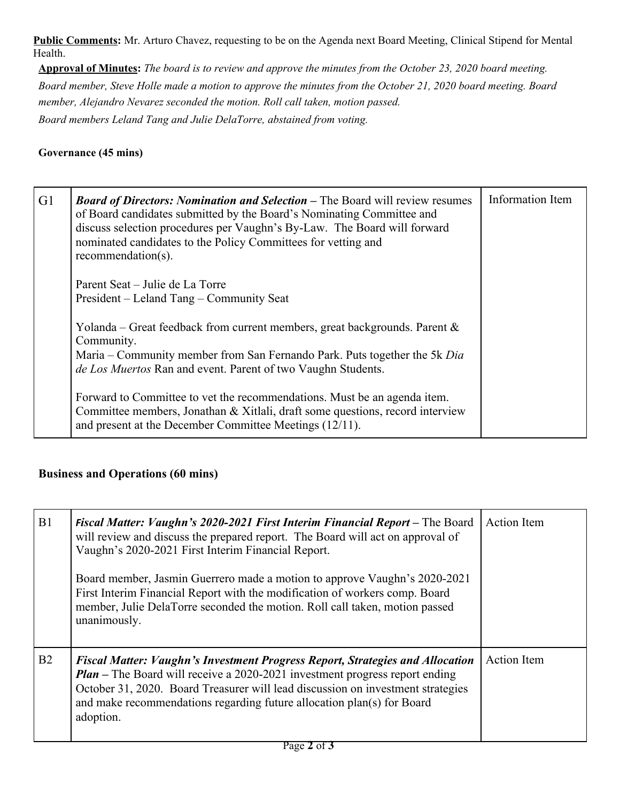**Public Comments:** Mr. Arturo Chavez, requesting to be on the Agenda next Board Meeting, Clinical Stipend for Mental Health.

Approval of Minutes: The board is to review and approve the minutes from the October 23, 2020 board meeting. Board member, Steve Holle made a motion to approve the minutes from the October 21, 2020 board meeting. Board *member, Alejandro Nevarez seconded the motion. Roll call taken, motion passed. Board members Leland Tang and Julie DelaTorre, abstained from voting.*

### **Governance (45 mins)**

| G <sub>1</sub> | <b>Board of Directors: Nomination and Selection – The Board will review resumes</b><br>of Board candidates submitted by the Board's Nominating Committee and<br>discuss selection procedures per Vaughn's By-Law. The Board will forward<br>nominated candidates to the Policy Committees for vetting and<br>recommendation(s). | Information Item |
|----------------|---------------------------------------------------------------------------------------------------------------------------------------------------------------------------------------------------------------------------------------------------------------------------------------------------------------------------------|------------------|
|                | Parent Seat – Julie de La Torre<br>President – Leland Tang – Community Seat                                                                                                                                                                                                                                                     |                  |
|                | Yolanda – Great feedback from current members, great backgrounds. Parent $\&$<br>Community.<br>Maria – Community member from San Fernando Park. Puts together the 5k Dia<br>de Los Muertos Ran and event. Parent of two Vaughn Students.                                                                                        |                  |
|                | Forward to Committee to vet the recommendations. Must be an agenda item.<br>Committee members, Jonathan & Xitlali, draft some questions, record interview<br>and present at the December Committee Meetings $(12/11)$ .                                                                                                         |                  |

# **Business and Operations (60 mins)**

| B1 | Fiscal Matter: Vaughn's 2020-2021 First Interim Financial Report – The Board<br>will review and discuss the prepared report. The Board will act on approval of<br>Vaughn's 2020-2021 First Interim Financial Report.                                                                                                                                 | <b>Action</b> Item |
|----|------------------------------------------------------------------------------------------------------------------------------------------------------------------------------------------------------------------------------------------------------------------------------------------------------------------------------------------------------|--------------------|
|    | Board member, Jasmin Guerrero made a motion to approve Vaughn's 2020-2021<br>First Interim Financial Report with the modification of workers comp. Board<br>member, Julie DelaTorre seconded the motion. Roll call taken, motion passed<br>unanimously.                                                                                              |                    |
| B2 | <b>Fiscal Matter: Vaughn's Investment Progress Report, Strategies and Allocation</b><br><b>Plan</b> – The Board will receive a 2020-2021 investment progress report ending<br>October 31, 2020. Board Treasurer will lead discussion on investment strategies<br>and make recommendations regarding future allocation plan(s) for Board<br>adoption. | <b>Action</b> Item |